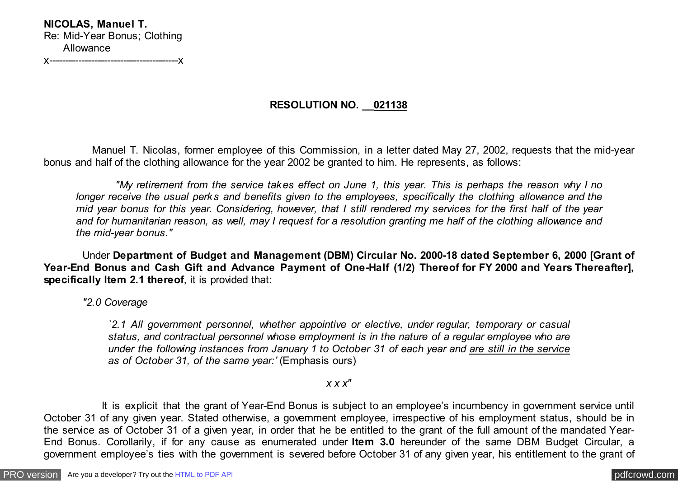**NICOLAS, Manuel T.** Re: Mid-Year Bonus; Clothing Allowance

x----------------------------------------x

## **RESOLUTION NO. \_\_021138**

 Manuel T. Nicolas, former employee of this Commission, in a letter dated May 27, 2002, requests that the mid-year bonus and half of the clothing allowance for the year 2002 be granted to him. He represents, as follows:

 *"My retirement from the service takes effect on June 1, this year. This is perhaps the reason why I no longer receive the usual perks and benefits given to the employees, specifically the clothing allowance and the mid year bonus for this year. Considering, however, that I still rendered my services for the first half of the year and for humanitarian reason, as well, may I request for a resolution granting me half of the clothing allowance and the mid-year bonus."*

 Under **Department of Budget and Management (DBM) Circular No. 2000-18 dated September 6, 2000 [Grant of Year-End Bonus and Cash Gift and Advance Payment of One-Half (1/2) Thereof for FY 2000 and Years Thereafter], specifically Item 2.1 thereof**, it is provided that:

 *"2.0 Coverage*

*`2.1 All government personnel, whether appointive or elective, under regular, temporary or casual status, and contractual personnel whose employment is in the nature of a regular employee who are under the following instances from January 1 to October 31 of each year and are still in the service as of October 31, of the same year:'* (Emphasis ours)

*x x x"*

 It is explicit that the grant of Year-End Bonus is subject to an employee's incumbency in government service until October 31 of any given year. Stated otherwise, a government employee, irrespective of his employment status, should be in the service as of October 31 of a given year, in order that he be entitled to the grant of the full amount of the mandated Year-End Bonus. Corollarily, if for any cause as enumerated under **Item 3.0** hereunder of the same DBM Budget Circular, a government employee's ties with the government is severed before October 31 of any given year, his entitlement to the grant of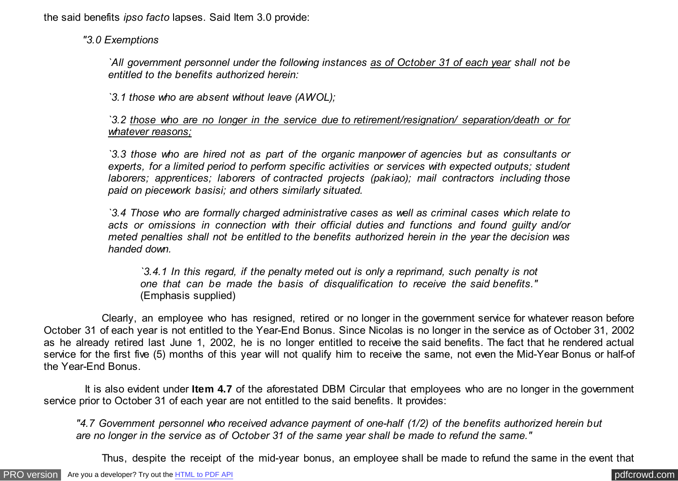the said benefits *ipso facto* lapses. Said Item 3.0 provide:

 *"3.0 Exemptions*

*`All government personnel under the following instances as of October 31 of each year shall not be entitled to the benefits authorized herein:*

*`3.1 those who are absent without leave (AWOL);*

*`3.2 those who are no longer in the service due to retirement/resignation/ separation/death or for whatever reasons;*

*`3.3 those who are hired not as part of the organic manpower of agencies but as consultants or experts, for a limited period to perform specific activities or services with expected outputs; student laborers; apprentices; laborers of contracted projects (pakiao); mail contractors including those paid on piecework basisi; and others similarly situated.*

*`3.4 Those who are formally charged administrative cases as well as criminal cases which relate to acts or omissions in connection with their official duties and functions and found guilty and/or meted penalties shall not be entitled to the benefits authorized herein in the year the decision was handed down.*

*`3.4.1 In this regard, if the penalty meted out is only a reprimand, such penalty is not one that can be made the basis of disqualification to receive the said benefits."* (Emphasis supplied)

 Clearly, an employee who has resigned, retired or no longer in the government service for whatever reason before October 31 of each year is not entitled to the Year-End Bonus. Since Nicolas is no longer in the service as of October 31, 2002 as he already retired last June 1, 2002, he is no longer entitled to receive the said benefits. The fact that he rendered actual service for the first five (5) months of this year will not qualify him to receive the same, not even the Mid-Year Bonus or half-of the Year-End Bonus.

 It is also evident under **Item 4.7** of the aforestated DBM Circular that employees who are no longer in the government service prior to October 31 of each year are not entitled to the said benefits. It provides:

*"4.7 Government personnel who received advance payment of one-half (1/2) of the benefits authorized herein but are no longer in the service as of October 31 of the same year shall be made to refund the same."*

Thus, despite the receipt of the mid-year bonus, an employee shall be made to refund the same in the event that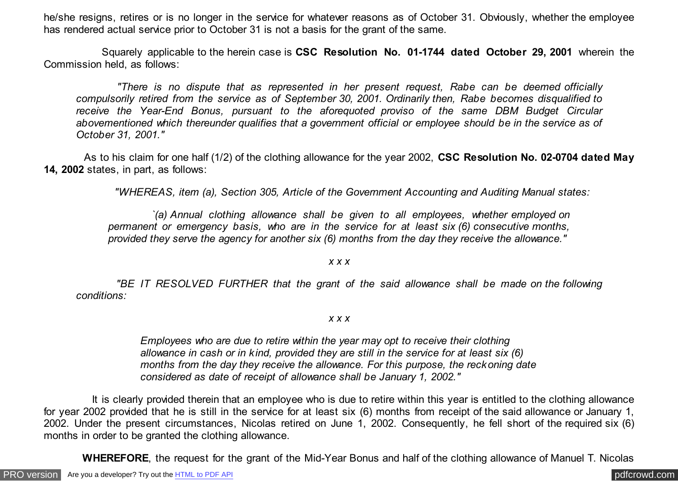he/she resigns, retires or is no longer in the service for whatever reasons as of October 31. Obviously, whether the employee has rendered actual service prior to October 31 is not a basis for the grant of the same.

 Squarely applicable to the herein case is **CSC Resolution No. 01-1744 dated October 29, 2001** wherein the Commission held, as follows:

 *"There is no dispute that as represented in her present request, Rabe can be deemed officially compulsorily retired from the service as of September 30, 2001. Ordinarily then, Rabe becomes disqualified to receive the Year-End Bonus, pursuant to the aforequoted proviso of the same DBM Budget Circular abovementioned which thereunder qualifies that a government official or employee should be in the service as of October 31, 2001."*

 As to his claim for one half (1/2) of the clothing allowance for the year 2002, **CSC Resolution No. 02-0704 dated May 14, 2002** states, in part, as follows:

 *"WHEREAS, item (a), Section 305, Article of the Government Accounting and Auditing Manual states:*

 *`(a) Annual clothing allowance shall be given to all employees, whether employed on permanent or emergency basis, who are in the service for at least six (6) consecutive months, provided they serve the agency for another six (6) months from the day they receive the allowance."*

*x x x*

 *"BE IT RESOLVED FURTHER that the grant of the said allowance shall be made on the following conditions:*

*x x x*

*Employees who are due to retire within the year may opt to receive their clothing allowance in cash or in kind, provided they are still in the service for at least six (6) months from the day they receive the allowance. For this purpose, the reckoning date considered as date of receipt of allowance shall be January 1, 2002."*

 It is clearly provided therein that an employee who is due to retire within this year is entitled to the clothing allowance for year 2002 provided that he is still in the service for at least six (6) months from receipt of the said allowance or January 1, 2002. Under the present circumstances, Nicolas retired on June 1, 2002. Consequently, he fell short of the required six (6) months in order to be granted the clothing allowance.

 **WHEREFORE**, the request for the grant of the Mid-Year Bonus and half of the clothing allowance of Manuel T. Nicolas